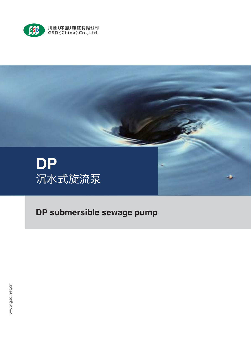



DP submersible sewage pump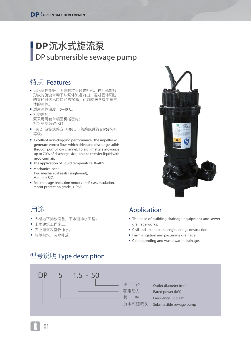# DP沉水式旋流泵 DP submersible sewage pump

### 特点 Features

- 尢堵基性能好,固体颗粒个通过叶轮、任叶轮旋转 形成的旋流带动下从泵体流道流出,通过固体颗粒 的直径可达出口口径的70%;可以输送含有少量气 体的液体。
- 适用液体温度: 0~40℃。
- 机械密封: 泵采用两套单端面机械密封; 机封材质为碳化硅。
- 电机:鼠笼式感应电动机,F级绝缘并符合IP68防护 等级。
- Excellent non-clogging performance, the impeller will generate vortex flow, which drive and discharge solids through pump flow channel; foreign matters allowance up to 70% of discharge size; able to transfer liquid with modicum air.
- The application of liquid temperature: 0~40°C.
- Mechanical seal: Two mechanical seals (single-end); Material: SIC.
- Squirrel-cage, induction motors are F class insulation, motor protection grade is IP68.



- 大倭地卜排放设备,卜水迫排水丄桯。
- 土木建筑丄桂肔丄。
- 农业漼溦及备牧排水。
- 船舱枳水,污水排放。

### 用途 Application

- The base of building drainage equipment and sewer drainage works.
- Civil and architectural engineering construction.
- Farm irrigation and pasturage drainage.
- Cabin ponding and waste water drainage.

## 型号说明 Type description



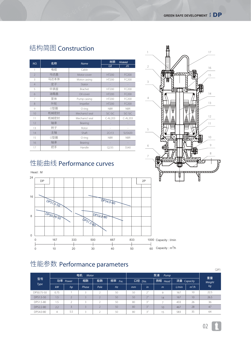# 结构简图 Construction

| NO.                      | 名称   | <b>Name</b>    | 材质<br><b>Material</b>    |               |  |  |  |
|--------------------------|------|----------------|--------------------------|---------------|--|--|--|
|                          |      |                | GB                       | <b>JIS</b>    |  |  |  |
| 1                        | 电缆   | Cable          |                          |               |  |  |  |
| $\overline{\phantom{a}}$ | 马达盖  | Motor cover    | <b>HT200</b>             | FC200         |  |  |  |
| 3                        | 马达本体 | Motor casing   | <b>HT200</b>             | FC200         |  |  |  |
| 4                        | 定子   | Stator         |                          |               |  |  |  |
| 5                        | 中承座  | <b>Brachet</b> | HT200                    | FC200         |  |  |  |
| 6                        | 油箱盖  | Oil cover      | <b>HT200</b>             | FC200         |  |  |  |
| 7                        | 泵体   | Pump casing    | HT200                    | FC200         |  |  |  |
| 8                        | 叶轮   | Impeller       | <b>HT200</b>             | FC200         |  |  |  |
| 9                        | ○型圈  | O ring         | <b>NBR</b>               | <b>NBR</b>    |  |  |  |
| 10                       | 机械密封 | Mechanicl seal | SiC-SiC                  | SiC-SiC       |  |  |  |
| 11                       | 机械密封 | Mechanicl seal | $C$ -AL <sub>203</sub>   | $C$ -AL203    |  |  |  |
| 12                       | 轴承   | Bearing        |                          |               |  |  |  |
| 13                       | 转子   | Rotor          | $\overline{\phantom{a}}$ |               |  |  |  |
| 14                       | 主轴   | Shaft          | 2Cr13                    | <b>SUS420</b> |  |  |  |
| 15                       | ○型圈  | O ring         | <b>NBR</b>               | <b>NBR</b>    |  |  |  |
| 16                       | 轴承   | Bearing        |                          |               |  |  |  |
| 17                       | 把手   | Handle         | Q235                     | SS40          |  |  |  |

# 䚍腊刼絁 Performance curves



# 性能参数 Performance parameters

|            |      |          |                |           |            |         |                      |         |             |         | (2P)   |  |
|------------|------|----------|----------------|-----------|------------|---------|----------------------|---------|-------------|---------|--------|--|
| 型号<br>Type |      |          | 电机<br>Motor    |           |            |         | 重量                   |         |             |         |        |  |
|            |      | 功率 Power | 相数             | 极数        | 频率<br>Fre. | 口径 Dia. |                      | 扬程 Head | 流量 Capacity |         | Weight |  |
|            | kW   | hp.      | Phase          | Pole      | Hz         | mm      | in                   | $m$     | L/min       | $m^3/h$ | kg     |  |
| DP50.75-50 | 0.75 |          | $\overline{a}$ | $\bigcap$ | 50         | 50      | 2 <sup>n</sup>       | 9       | 167         | 10      | 22.5   |  |
| DP51.5-50  | 1.5  |          |                |           | 50         | 50      | $\neg$ <sup>11</sup> | 14      | 167         | 10      | 26.5   |  |
| DP51.5-80  | 1.5  | h        |                | ∽         | 50         | 80      | 3''                  |         | 433         | 26      | 36     |  |
| DP52.2-80  | 2.2  |          |                |           | 50         | 80      | 3''                  | 10      | 467         | 28      | 47     |  |
| DP54.0-80  | 4    | 5.5      |                |           | 50         | 80      | 3''                  | 15      | 583         | 35      | 64     |  |



02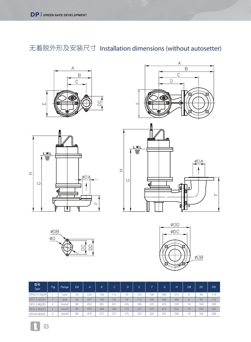无着脱外形及安装尺寸 Installation dimensions (without autosetter)













| 型号<br>Type     | Fig. | Flange | DA | A   | B   |     | D   | E.  | E.  | G   | H   | DB | DC. | <b>DD</b> |
|----------------|------|--------|----|-----|-----|-----|-----|-----|-----|-----|-----|----|-----|-----------|
| DP50.75-50(2P) |      | oval   | 50 | 224 | 150 | 115 | 70  | 152 | 136 | 383 | 513 | 8  | 90  | 110       |
| DP51.5-50(2P)  |      | oval   | 50 | 247 | 160 | 125 | 70  | 172 | 105 | 366 | 496 | 8  | 90  | 110       |
| DP51.5-80(2P)  |      | round  | 80 | 452 | 361 | 261 | 165 | 185 | 225 | 410 | 539 | 19 | 160 | 200       |
| DP52.2-80(2P)  |      | round  | 80 | 479 | 368 | 268 | 172 | 227 | 225 | 477 | 602 | 19 | 160 | 200       |
| DP54.0-80(2P)  |      | round  | 80 | 479 | 371 | 271 | 175 | 227 | 225 | 547 | 708 | 19 | 60  | 200       |

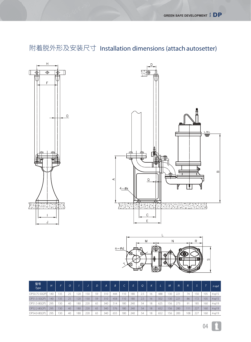# 附着脱外形及安装尺寸 Installation dimensions (attach autosetter)







| 型号<br><b>Type</b> | H   |     | O  |     |     | D  | A   | B.  |     |     | O   |    |     | M   | N.  | R.  |     |     | n-od             |
|-------------------|-----|-----|----|-----|-----|----|-----|-----|-----|-----|-----|----|-----|-----|-----|-----|-----|-----|------------------|
| DP50.75-50(2P)    | .40 | 135 | 25 | 20  | 50  | 59 | 310 | 444 | 110 | 180 | 2.5 | 16 | 488 | 130 | 221 | 74  | 50  | 105 | $4 - 015$        |
| DP51.5-50(2P)     | 140 | 135 | 25 | 120 | 50  | 59 | 310 | 458 | 110 | 180 | 2.5 | 16 | 502 | 130 | 221 | 86  | 172 | 105 | $4 - 015$        |
| DP51.5-80(2P)     | 295 | 130 | 40 | 180 | 220 | 65 | 340 | 514 | 180 | 240 | 54  | 18 | 625 | 156 | 273 | 91  | 185 | 160 | $4 - \varphi 19$ |
| DP52.2-80(2P)     | 295 | 130 | 40 | 180 | 220 | 65 | 340 | 576 | 180 | 240 | 54  | 18 | 652 | 156 | 280 | 111 | 227 | 160 | $4 - 019$        |
| DP54.0-80(2P)     | 295 | 130 | 40 | 180 | 220 | 65 | 340 | 655 | 180 | 240 | 54  | 18 | 652 | 156 | 283 | 108 | 227 | 160 | $4 - \varphi 19$ |